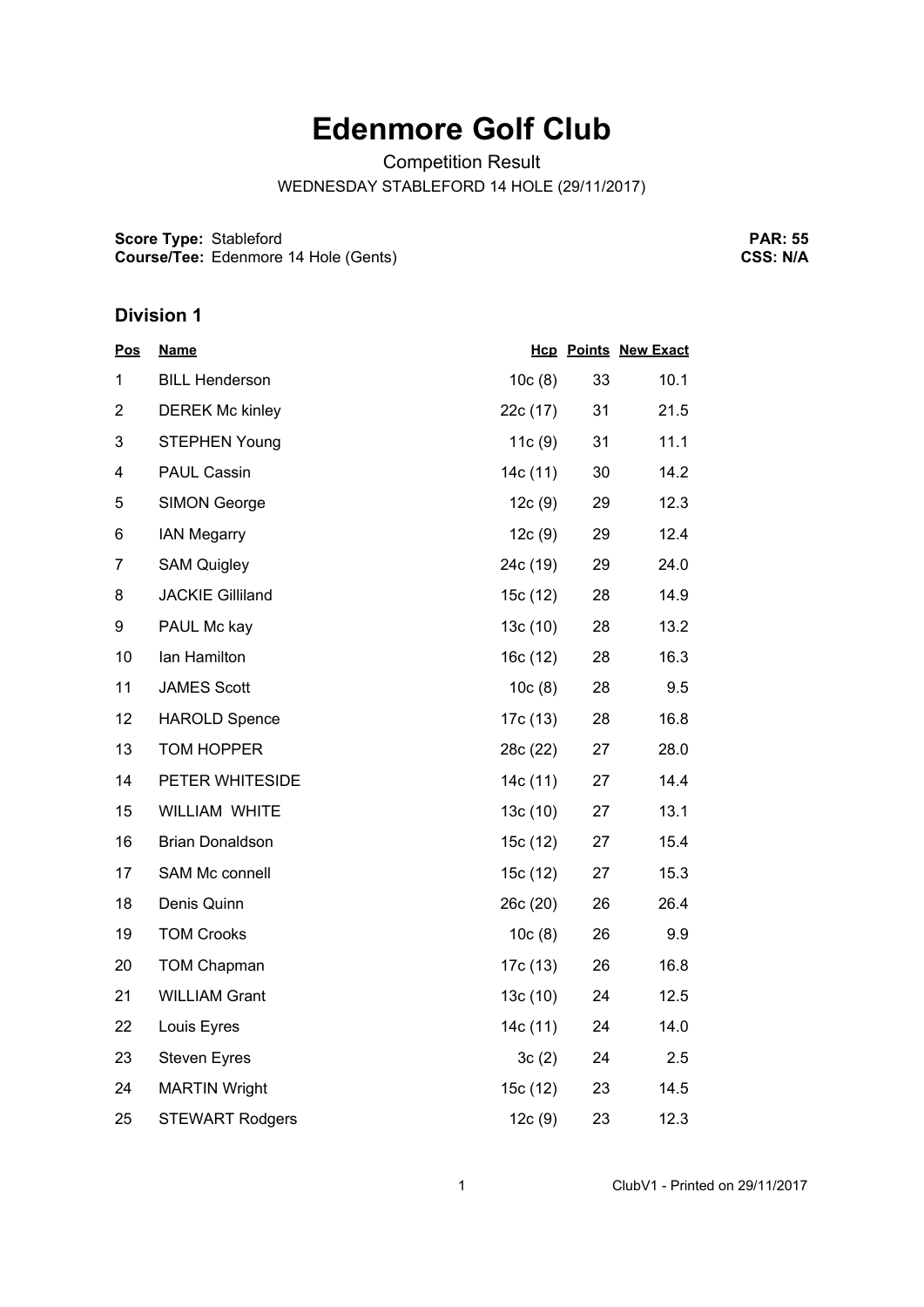## **Edenmore Golf Club**

Competition Result

WEDNESDAY STABLEFORD 14 HOLE (29/11/2017)

**Score Type:** Stableford **Course/Tee:** Edenmore 14 Hole (Gents)

**PAR: 55 CSS: N/A**

## **Division 1**

| <u>Pos</u>     | <b>Name</b>             |          |    | <b>Hcp Points New Exact</b> |
|----------------|-------------------------|----------|----|-----------------------------|
| 1              | <b>BILL Henderson</b>   | 10c(8)   | 33 | 10.1                        |
| $\overline{2}$ | <b>DEREK Mc kinley</b>  | 22c (17) | 31 | 21.5                        |
| 3              | <b>STEPHEN Young</b>    | 11c(9)   | 31 | 11.1                        |
| 4              | <b>PAUL Cassin</b>      | 14c (11) | 30 | 14.2                        |
| 5              | <b>SIMON George</b>     | 12c(9)   | 29 | 12.3                        |
| 6              | <b>IAN Megarry</b>      | 12c(9)   | 29 | 12.4                        |
| $\overline{7}$ | <b>SAM Quigley</b>      | 24c (19) | 29 | 24.0                        |
| 8              | <b>JACKIE Gilliland</b> | 15c (12) | 28 | 14.9                        |
| 9              | PAUL Mc kay             | 13c(10)  | 28 | 13.2                        |
| 10             | Ian Hamilton            | 16c(12)  | 28 | 16.3                        |
| 11             | <b>JAMES Scott</b>      | 10c(8)   | 28 | 9.5                         |
| 12             | <b>HAROLD Spence</b>    | 17c (13) | 28 | 16.8                        |
| 13             | TOM HOPPER              | 28c (22) | 27 | 28.0                        |
| 14             | PETER WHITESIDE         | 14c (11) | 27 | 14.4                        |
| 15             | WILLIAM WHITE           | 13c(10)  | 27 | 13.1                        |
| 16             | <b>Brian Donaldson</b>  | 15c (12) | 27 | 15.4                        |
| 17             | SAM Mc connell          | 15c (12) | 27 | 15.3                        |
| 18             | Denis Quinn             | 26c(20)  | 26 | 26.4                        |
| 19             | <b>TOM Crooks</b>       | 10c(8)   | 26 | 9.9                         |
| 20             | <b>TOM Chapman</b>      | 17c (13) | 26 | 16.8                        |
| 21             | <b>WILLIAM Grant</b>    | 13c (10) | 24 | 12.5                        |
| 22             | Louis Eyres             | 14c (11) | 24 | 14.0                        |
| 23             | <b>Steven Eyres</b>     | 3c(2)    | 24 | 2.5                         |
| 24             | <b>MARTIN Wright</b>    | 15c (12) | 23 | 14.5                        |
| 25             | <b>STEWART Rodgers</b>  | 12c(9)   | 23 | 12.3                        |